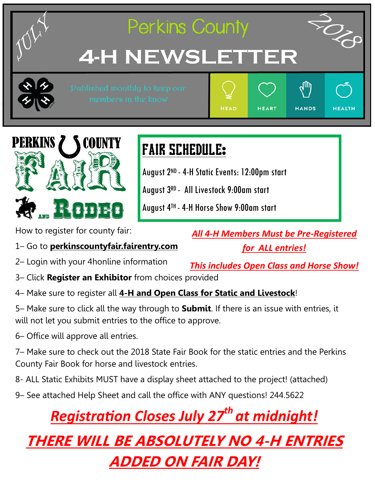



# FAIR SCHEDULE:

August 2ND -4-H Static Events: 12:00pm start

August 3RD - All Livestock 9:00am start

August 4TH -4-H Horse Show 9:00am start

How to register for county fair:

1– Go to **perkinscountyfair.fairentry.com**

2– Login with your 4honline information

3– Click **Register an Exhibitor** from choices provided

4– Make sure to register all **4-H and Open Class for Static and Livestock**!

5– Make sure to click all the way through to **Submit**. If there is an issue with entries, it will not let you submit entries to the office to approve.

6– Office will approve all entries.

7– Make sure to check out the 2018 State Fair Book for the static entries and the Perkins County Fair Book for horse and livestock entries.

8- ALL Static Exhibits MUST have a display sheet attached to the project! (attached)

9– See attached Help Sheet and call the office with ANY questions! 244.5622

## *Registration Closes July 27th at midnight!*

## **THERE WILL BE ABSOLUTELY NO 4-H ENTRIES ADDED ON FAIR DAY!**

*All 4-H Members Must be Pre-Registered for ALL entries!* 

*This includes Open Class and Horse Show!*